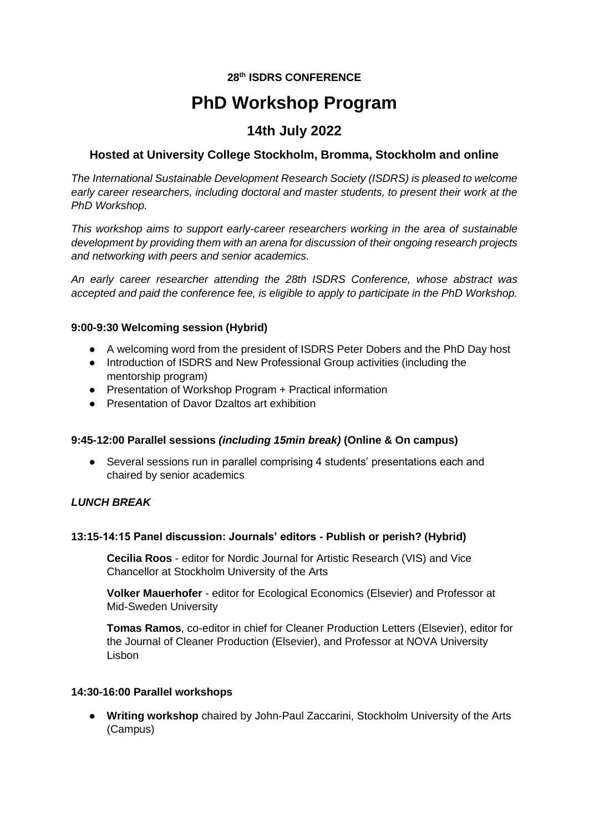# **28th ISDRS CONFERENCE**

# **PhD Workshop Program**

# **14th July 2022**

## **Hosted at University College Stockholm, Bromma, Stockholm and online**

*The International Sustainable Development Research Society (ISDRS) is pleased to welcome early career researchers, including doctoral and master students, to present their work at the PhD Workshop.* 

*This workshop aims to support early-career researchers working in the area of sustainable development by providing them with an arena for discussion of their ongoing research projects and networking with peers and senior academics.* 

*An early career researcher attending the 28th ISDRS Conference, whose abstract was accepted and paid the conference fee, is eligible to apply to participate in the PhD Workshop.*

#### **9:00-9:30 Welcoming session (Hybrid)**

- A welcoming word from the president of ISDRS Peter Dobers and the PhD Day host
- Introduction of ISDRS and New Professional Group activities (including the mentorship program)
- Presentation of Workshop Program + Practical information
- Presentation of Davor Dzaltos art exhibition

#### **9:45-12:00 Parallel sessions** *(including 15min break)* **(Online & On campus)**

● Several sessions run in parallel comprising 4 students' presentations each and chaired by senior academics

#### *LUNCH BREAK*

#### **13:15-14:15 Panel discussion: Journals' editors - Publish or perish? (Hybrid)**

**Cecilia Roos** - editor for Nordic Journal for Artistic Research (VIS) and Vice Chancellor at Stockholm University of the Arts

**Volker Mauerhofer** - editor for Ecological Economics (Elsevier) and Professor at Mid-Sweden University

**Tomas Ramos**, co-editor in chief for Cleaner Production Letters (Elsevier), editor for the Journal of Cleaner Production (Elsevier), and Professor at NOVA University Lisbon

#### **14:30-16:00 Parallel workshops**

● **Writing workshop** chaired by John-Paul Zaccarini, Stockholm University of the Arts (Campus)